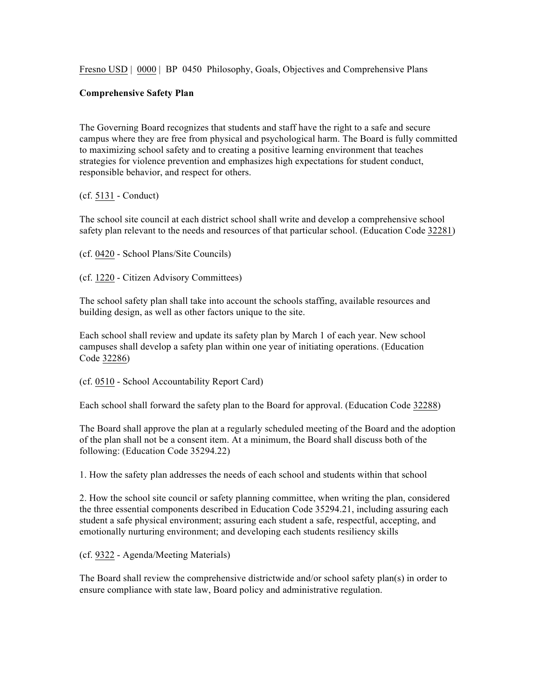Fresno USD | 0000 | BP 0450 Philosophy, Goals, Objectives and Comprehensive Plans

## **Comprehensive Safety Plan**

The Governing Board recognizes that students and staff have the right to a safe and secure campus where they are free from physical and psychological harm. The Board is fully committed to maximizing school safety and to creating a positive learning environment that teaches strategies for violence prevention and emphasizes high expectations for student conduct, responsible behavior, and respect for others.

## (cf. 5131 - Conduct)

The school site council at each district school shall write and develop a comprehensive school safety plan relevant to the needs and resources of that particular school. (Education Code 32281)

(cf. 0420 - School Plans/Site Councils)

(cf. 1220 - Citizen Advisory Committees)

The school safety plan shall take into account the schools staffing, available resources and building design, as well as other factors unique to the site.

Each school shall review and update its safety plan by March 1 of each year. New school campuses shall develop a safety plan within one year of initiating operations. (Education Code 32286)

(cf. 0510 - School Accountability Report Card)

Each school shall forward the safety plan to the Board for approval. (Education Code 32288)

The Board shall approve the plan at a regularly scheduled meeting of the Board and the adoption of the plan shall not be a consent item. At a minimum, the Board shall discuss both of the following: (Education Code 35294.22)

1. How the safety plan addresses the needs of each school and students within that school

2. How the school site council or safety planning committee, when writing the plan, considered the three essential components described in Education Code 35294.21, including assuring each student a safe physical environment; assuring each student a safe, respectful, accepting, and emotionally nurturing environment; and developing each students resiliency skills

(cf. 9322 - Agenda/Meeting Materials)

The Board shall review the comprehensive districtwide and/or school safety plan(s) in order to ensure compliance with state law, Board policy and administrative regulation.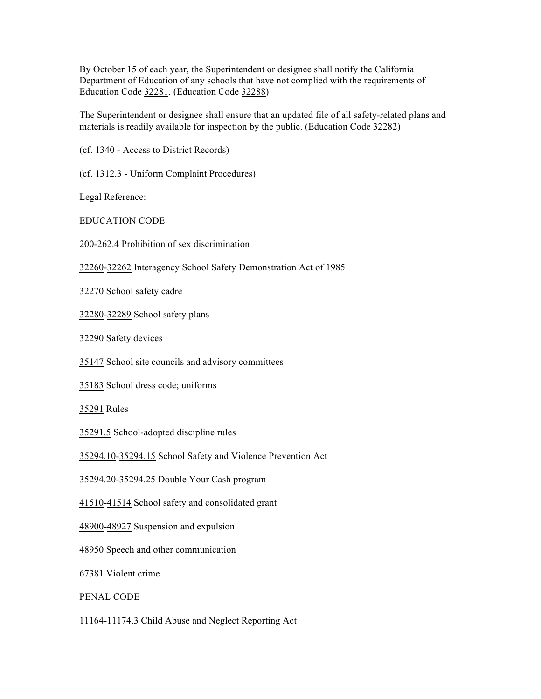By October 15 of each year, the Superintendent or designee shall notify the California Department of Education of any schools that have not complied with the requirements of Education Code 32281. (Education Code 32288)

The Superintendent or designee shall ensure that an updated file of all safety-related plans and materials is readily available for inspection by the public. (Education Code 32282)

(cf. 1340 - Access to District Records)

(cf. 1312.3 - Uniform Complaint Procedures)

Legal Reference:

EDUCATION CODE

200-262.4 Prohibition of sex discrimination

32260-32262 Interagency School Safety Demonstration Act of 1985

32270 School safety cadre

32280-32289 School safety plans

32290 Safety devices

35147 School site councils and advisory committees

35183 School dress code; uniforms

35291 Rules

35291.5 School-adopted discipline rules

35294.10-35294.15 School Safety and Violence Prevention Act

35294.20-35294.25 Double Your Cash program

41510-41514 School safety and consolidated grant

48900-48927 Suspension and expulsion

48950 Speech and other communication

67381 Violent crime

PENAL CODE

11164-11174.3 Child Abuse and Neglect Reporting Act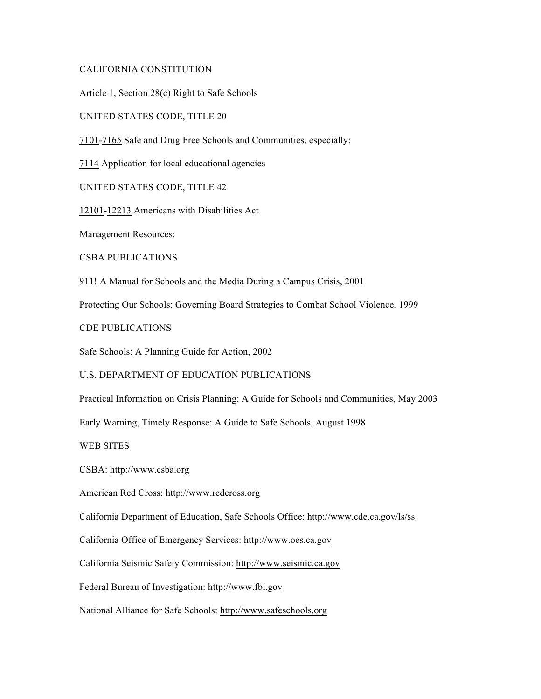## CALIFORNIA CONSTITUTION

Article 1, Section 28(c) Right to Safe Schools

UNITED STATES CODE, TITLE 20

7101-7165 Safe and Drug Free Schools and Communities, especially:

7114 Application for local educational agencies

UNITED STATES CODE, TITLE 42

12101-12213 Americans with Disabilities Act

Management Resources:

CSBA PUBLICATIONS

911! A Manual for Schools and the Media During a Campus Crisis, 2001

Protecting Our Schools: Governing Board Strategies to Combat School Violence, 1999

CDE PUBLICATIONS

Safe Schools: A Planning Guide for Action, 2002

U.S. DEPARTMENT OF EDUCATION PUBLICATIONS

Practical Information on Crisis Planning: A Guide for Schools and Communities, May 2003

Early Warning, Timely Response: A Guide to Safe Schools, August 1998

WEB SITES

CSBA: http://www.csba.org

American Red Cross: http://www.redcross.org

California Department of Education, Safe Schools Office: http://www.cde.ca.gov/ls/ss

California Office of Emergency Services: http://www.oes.ca.gov

California Seismic Safety Commission: http://www.seismic.ca.gov

Federal Bureau of Investigation: http://www.fbi.gov

National Alliance for Safe Schools: http://www.safeschools.org